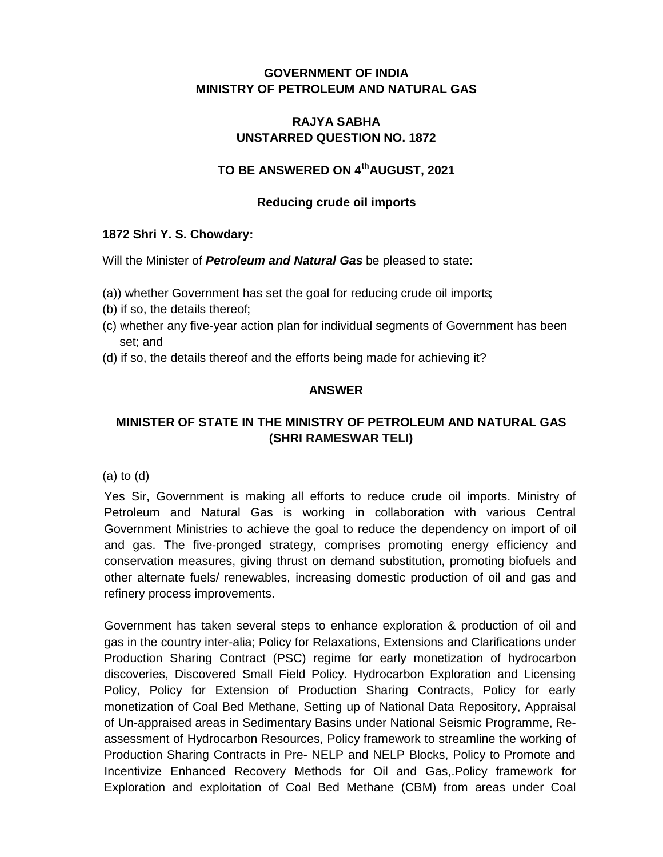## **GOVERNMENT OF INDIA MINISTRY OF PETROLEUM AND NATURAL GAS**

### **RAJYA SABHA UNSTARRED QUESTION NO. 1872**

## **TO BE ANSWERED ON 4thAUGUST, 2021**

### **Reducing crude oil imports**

#### **1872 Shri Y. S. Chowdary:**

Will the Minister of *Petroleum and Natural Gas* be pleased to state:

- (a)) whether Government has set the goal for reducing crude oil imports;
- (b) if so, the details thereof;
- (c) whether any five-year action plan for individual segments of Government has been set; and
- (d) if so, the details thereof and the efforts being made for achieving it?

### **ANSWER**

# **MINISTER OF STATE IN THE MINISTRY OF PETROLEUM AND NATURAL GAS (SHRI RAMESWAR TELI)**

(a) to (d)

Yes Sir, Government is making all efforts to reduce crude oil imports. Ministry of Petroleum and Natural Gas is working in collaboration with various Central Government Ministries to achieve the goal to reduce the dependency on import of oil and gas. The five-pronged strategy, comprises promoting energy efficiency and conservation measures, giving thrust on demand substitution, promoting biofuels and other alternate fuels/ renewables, increasing domestic production of oil and gas and refinery process improvements.

Government has taken several steps to enhance exploration & production of oil and gas in the country inter-alia; Policy for Relaxations, Extensions and Clarifications under Production Sharing Contract (PSC) regime for early monetization of hydrocarbon discoveries, Discovered Small Field Policy. Hydrocarbon Exploration and Licensing Policy, Policy for Extension of Production Sharing Contracts, Policy for early monetization of Coal Bed Methane, Setting up of National Data Repository, Appraisal of Un-appraised areas in Sedimentary Basins under National Seismic Programme, Reassessment of Hydrocarbon Resources, Policy framework to streamline the working of Production Sharing Contracts in Pre- NELP and NELP Blocks, Policy to Promote and Incentivize Enhanced Recovery Methods for Oil and Gas,.Policy framework for Exploration and exploitation of Coal Bed Methane (CBM) from areas under Coal